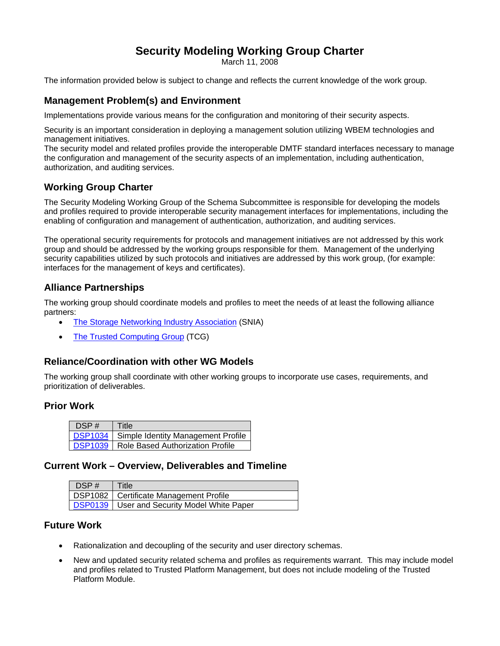# **Security Modeling Working Group Charter**

March 11, 2008

The information provided below is subject to change and reflects the current knowledge of the work group.

# **Management Problem(s) and Environment**

Implementations provide various means for the configuration and monitoring of their security aspects.

Security is an important consideration in deploying a management solution utilizing WBEM technologies and management initiatives.

The security model and related profiles provide the interoperable DMTF standard interfaces necessary to manage the configuration and management of the security aspects of an implementation, including authentication, authorization, and auditing services.

## **Working Group Charter**

The Security Modeling Working Group of the Schema Subcommittee is responsible for developing the models and profiles required to provide interoperable security management interfaces for implementations, including the enabling of configuration and management of authentication, authorization, and auditing services.

The operational security requirements for protocols and management initiatives are not addressed by this work group and should be addressed by the working groups responsible for them. Management of the underlying security capabilities utilized by such protocols and initiatives are addressed by this work group, (for example: interfaces for the management of keys and certificates).

## **Alliance Partnerships**

The working group should coordinate models and profiles to meet the needs of at least the following alliance partners:

- [The Storage Networking Industry Association](http://www.snia.org/) (SNIA)
- [The Trusted Computing Group](http://www.trustedcomputinggroup.org/) (TCG)

#### **Reliance/Coordination with other WG Models**

The working group shall coordinate with other working groups to incorporate use cases, requirements, and prioritization of deliverables.

#### **Prior Work**

| DSP# | Title                                             |
|------|---------------------------------------------------|
|      | <b>DSP1034</b> Simple Identity Management Profile |
|      | <b>DSP1039</b> Role Based Authorization Profile   |

#### **Current Work – Overview, Deliverables and Timeline**

| $\overline{ }$ DSP # | 'Title                                             |
|----------------------|----------------------------------------------------|
|                      | <b>DSP1082</b>   Certificate Management Profile    |
|                      | <b>DSP0139</b> User and Security Model White Paper |

#### **Future Work**

- Rationalization and decoupling of the security and user directory schemas.
- New and updated security related schema and profiles as requirements warrant. This may include model and profiles related to Trusted Platform Management, but does not include modeling of the Trusted Platform Module.